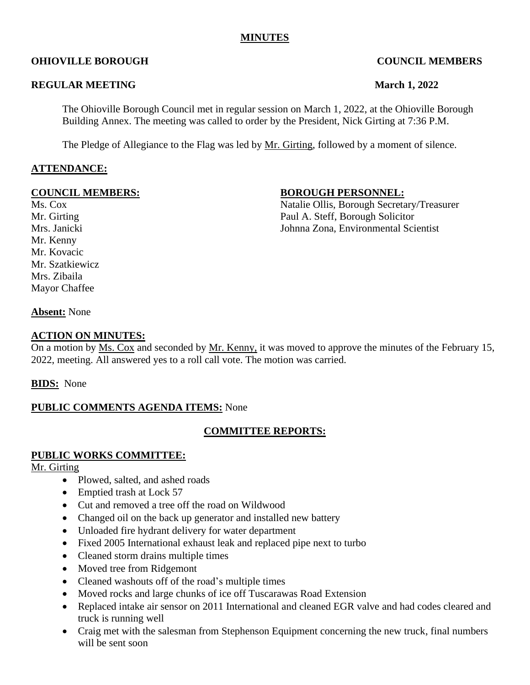## **MINUTES**

The Ohioville Borough Council met in regular session on March 1, 2022, at the Ohioville Borough Building Annex. The meeting was called to order by the President, Nick Girting at 7:36 P.M.

The Pledge of Allegiance to the Flag was led by Mr. Girting, followed by a moment of silence.

## **OHIOVILLE BOROUGH COUNCIL MEMBERS**

#### **REGULAR MEETING March** 1, 2022

Mr. Kenny Mr. Kovacic Mrs. Zibaila Mayor Chaffee

#### **COUNCIL MEMBERS:** BOROUGH PERSONNEL:

Ms. Cox Natalie Ollis, Borough Secretary/Treasurer Mr. Girting Paul A. Steff, Borough Solicitor Mrs. Janicki Johnna Zona, Environmental Scientist

**Absent:** None

#### **ACTION ON MINUTES:**

On a motion by Ms. Cox and seconded by Mr. Kenny, it was moved to approve the minutes of the February 15, 2022, meeting. All answered yes to a roll call vote. The motion was carried.

**BIDS:** None

#### **PUBLIC COMMENTS AGENDA ITEMS:** None

#### **COMMITTEE REPORTS:**

#### **PUBLIC WORKS COMMITTEE:**

Mr. Girting

- Plowed, salted, and ashed roads
- Emptied trash at Lock 57
- Cut and removed a tree off the road on Wildwood
- Changed oil on the back up generator and installed new battery
- Unloaded fire hydrant delivery for water department
- Fixed 2005 International exhaust leak and replaced pipe next to turbo
- Cleaned storm drains multiple times
- Moved tree from Ridgemont
- Cleaned washouts off of the road's multiple times
- Moved rocks and large chunks of ice off Tuscarawas Road Extension
- Replaced intake air sensor on 2011 International and cleaned EGR valve and had codes cleared and truck is running well
- Craig met with the salesman from Stephenson Equipment concerning the new truck, final numbers will be sent soon

Mr. Szatkiewicz

**ATTENDANCE:**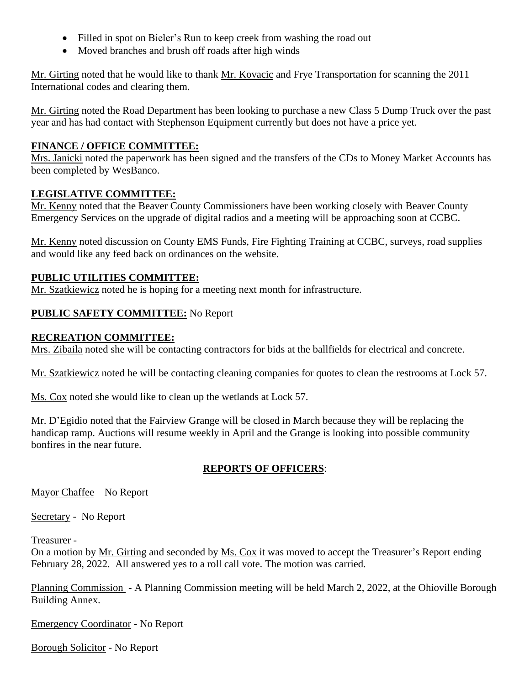- Filled in spot on Bieler's Run to keep creek from washing the road out
- Moved branches and brush off roads after high winds

Mr. Girting noted that he would like to thank Mr. Kovacic and Frye Transportation for scanning the 2011 International codes and clearing them.

Mr. Girting noted the Road Department has been looking to purchase a new Class 5 Dump Truck over the past year and has had contact with Stephenson Equipment currently but does not have a price yet.

#### **FINANCE / OFFICE COMMITTEE:**

Mrs. Janicki noted the paperwork has been signed and the transfers of the CDs to Money Market Accounts has been completed by WesBanco.

#### **LEGISLATIVE COMMITTEE:**

Mr. Kenny noted that the Beaver County Commissioners have been working closely with Beaver County Emergency Services on the upgrade of digital radios and a meeting will be approaching soon at CCBC.

Mr. Kenny noted discussion on County EMS Funds, Fire Fighting Training at CCBC, surveys, road supplies and would like any feed back on ordinances on the website.

#### **PUBLIC UTILITIES COMMITTEE:**

Mr. Szatkiewicz noted he is hoping for a meeting next month for infrastructure.

## **PUBLIC SAFETY COMMITTEE:** No Report

#### **RECREATION COMMITTEE:**

Mrs. Zibaila noted she will be contacting contractors for bids at the ballfields for electrical and concrete.

Mr. Szatkiewicz noted he will be contacting cleaning companies for quotes to clean the restrooms at Lock 57.

Ms. Cox noted she would like to clean up the wetlands at Lock 57.

Mr. D'Egidio noted that the Fairview Grange will be closed in March because they will be replacing the handicap ramp. Auctions will resume weekly in April and the Grange is looking into possible community bonfires in the near future.

## **REPORTS OF OFFICERS**:

Mayor Chaffee – No Report

Secretary - No Report

Treasurer -

On a motion by Mr. Girting and seconded by Ms. Cox it was moved to accept the Treasurer's Report ending February 28, 2022. All answered yes to a roll call vote. The motion was carried.

Planning Commission - A Planning Commission meeting will be held March 2, 2022, at the Ohioville Borough Building Annex.

Emergency Coordinator - No Report

Borough Solicitor - No Report